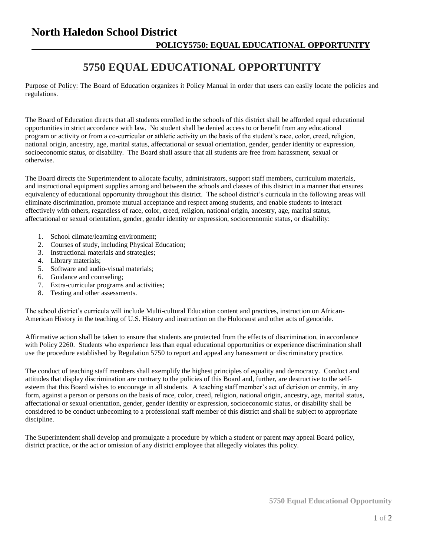## **North Haledon School District POLICY5750: EQUAL EDUCATIONAL OPPORTUNITY**

## **5750 EQUAL EDUCATIONAL OPPORTUNITY**

Purpose of Policy: The Board of Education organizes it Policy Manual in order that users can easily locate the policies and regulations.

The Board of Education directs that all students enrolled in the schools of this district shall be afforded equal educational opportunities in strict accordance with law. No student shall be denied access to or benefit from any educational program or activity or from a co-curricular or athletic activity on the basis of the student's race, color, creed, religion, national origin, ancestry, age, marital status, affectational or sexual orientation, gender, gender identity or expression, socioeconomic status, or disability. The Board shall assure that all students are free from harassment, sexual or otherwise.

The Board directs the Superintendent to allocate faculty, administrators, support staff members, curriculum materials, and instructional equipment supplies among and between the schools and classes of this district in a manner that ensures equivalency of educational opportunity throughout this district. The school district's curricula in the following areas will eliminate discrimination, promote mutual acceptance and respect among students, and enable students to interact effectively with others, regardless of race, color, creed, religion, national origin, ancestry, age, marital status, affectational or sexual orientation, gender, gender identity or expression, socioeconomic status, or disability:

- 1. School climate/learning environment;
- 2. Courses of study, including Physical Education;
- 3. Instructional materials and strategies;
- 4. Library materials;
- 5. Software and audio-visual materials;
- 6. Guidance and counseling;
- 7. Extra-curricular programs and activities;
- 8. Testing and other assessments.

The school district's curricula will include Multi-cultural Education content and practices, instruction on African-American History in the teaching of U.S. History and instruction on the Holocaust and other acts of genocide.

Affirmative action shall be taken to ensure that students are protected from the effects of discrimination, in accordance with Policy 2260. Students who experience less than equal educational opportunities or experience discrimination shall use the procedure established by Regulation 5750 to report and appeal any harassment or discriminatory practice.

The conduct of teaching staff members shall exemplify the highest principles of equality and democracy. Conduct and attitudes that display discrimination are contrary to the policies of this Board and, further, are destructive to the selfesteem that this Board wishes to encourage in all students. A teaching staff member's act of derision or enmity, in any form, against a person or persons on the basis of race, color, creed, religion, national origin, ancestry, age, marital status, affectational or sexual orientation, gender, gender identity or expression, socioeconomic status, or disability shall be considered to be conduct unbecoming to a professional staff member of this district and shall be subject to appropriate discipline.

The Superintendent shall develop and promulgate a procedure by which a student or parent may appeal Board policy, district practice, or the act or omission of any district employee that allegedly violates this policy.